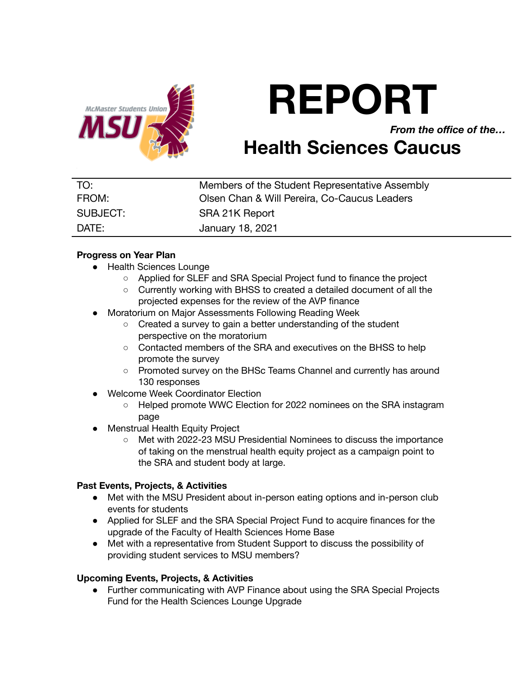

# **REPORT**

*From the office of the…*

# **Health Sciences Caucus**

| TO:      | Members of the Student Representative Assembly |
|----------|------------------------------------------------|
| FROM:    | Olsen Chan & Will Pereira, Co-Caucus Leaders   |
| SUBJECT: | SRA 21K Report                                 |
| DATE:    | January 18, 2021                               |

## **Progress on Year Plan**

- Health Sciences Lounge
	- Applied for SLEF and SRA Special Project fund to finance the project
	- Currently working with BHSS to created a detailed document of all the projected expenses for the review of the AVP finance
- Moratorium on Major Assessments Following Reading Week
	- Created a survey to gain a better understanding of the student perspective on the moratorium
	- Contacted members of the SRA and executives on the BHSS to help promote the survey
	- Promoted survey on the BHSc Teams Channel and currently has around 130 responses
- Welcome Week Coordinator Election
	- Helped promote WWC Election for 2022 nominees on the SRA instagram page
- **Menstrual Health Equity Project** 
	- Met with 2022-23 MSU Presidential Nominees to discuss the importance of taking on the menstrual health equity project as a campaign point to the SRA and student body at large.

## **Past Events, Projects, & Activities**

- Met with the MSU President about in-person eating options and in-person club events for students
- Applied for SLEF and the SRA Special Project Fund to acquire finances for the upgrade of the Faculty of Health Sciences Home Base
- Met with a representative from Student Support to discuss the possibility of providing student services to MSU members?

#### **Upcoming Events, Projects, & Activities**

● Further communicating with AVP Finance about using the SRA Special Projects Fund for the Health Sciences Lounge Upgrade